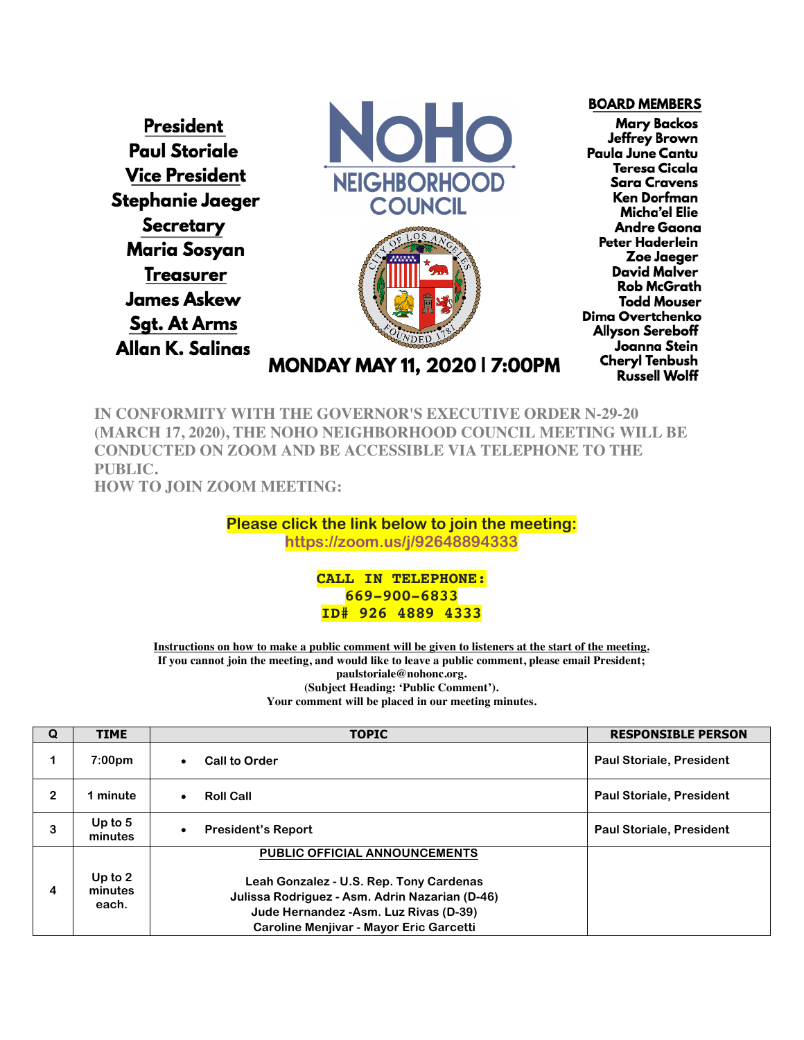**President Paul Storiale Vice President** Stephanie Jaeger **Secretary Maria Sosyan Treasurer James Askew Sgt. At Arms** Allan K. Salinas



**BOARD MEMBERS Mary Backos** Jeffrey Brown Paula June Cantu **Teresa Cicala Sara Cravens** Ken Dorfman Micha'el Elie **Andre Gaona** Peter Haderlein Zoe Jaeger **David Malver Rob McGrath Todd Mouser** Dima Overtchenko **Allyson Sereboff** Joanna Stein **Cheryl Tenbush Russell Wolff** 

MONDAY MAY 11, 2020 | 7:00PM

**IN CONFORMITY WITH THE GOVERNOR'S EXECUTIVE ORDER N-29-20 (MARCH 17, 2020), THE NOHO NEIGHBORHOOD COUNCIL MEETING WILL BE CONDUCTED ON ZOOM AND BE ACCESSIBLE VIA TELEPHONE TO THE PUBLIC. HOW TO JOIN ZOOM MEETING:**

> **Please click the link below to join the meeting: https://zoom.us/j/92648894333**

> > **CALL IN TELEPHONE: 669-900-6833 ID# 926 4889 4333**

**Instructions on how to make a public comment will be given to listeners at the start of the meeting. If you cannot join the meeting, and would like to leave a public comment, please email President; paulstoriale@nohonc.org. (Subject Heading: 'Public Comment'). Your comment will be placed in our meeting minutes.**

| Q            | <b>TIME</b>                   | <b>TOPIC</b>                                                                                                                                                                                                    | <b>RESPONSIBLE PERSON</b>       |
|--------------|-------------------------------|-----------------------------------------------------------------------------------------------------------------------------------------------------------------------------------------------------------------|---------------------------------|
|              | 7:00 <sub>pm</sub>            | <b>Call to Order</b><br>$\bullet$                                                                                                                                                                               | <b>Paul Storiale, President</b> |
| $\mathbf{2}$ | 1 minute                      | <b>Roll Call</b><br>$\bullet$                                                                                                                                                                                   | <b>Paul Storiale, President</b> |
| 3            | Up to $5$<br>minutes          | <b>President's Report</b>                                                                                                                                                                                       | <b>Paul Storiale, President</b> |
| 4            | Up to $2$<br>minutes<br>each. | PUBLIC OFFICIAL ANNOUNCEMENTS<br>Leah Gonzalez - U.S. Rep. Tony Cardenas<br>Julissa Rodriguez - Asm. Adrin Nazarian (D-46)<br>Jude Hernandez - Asm. Luz Rivas (D-39)<br>Caroline Menjivar - Mayor Eric Garcetti |                                 |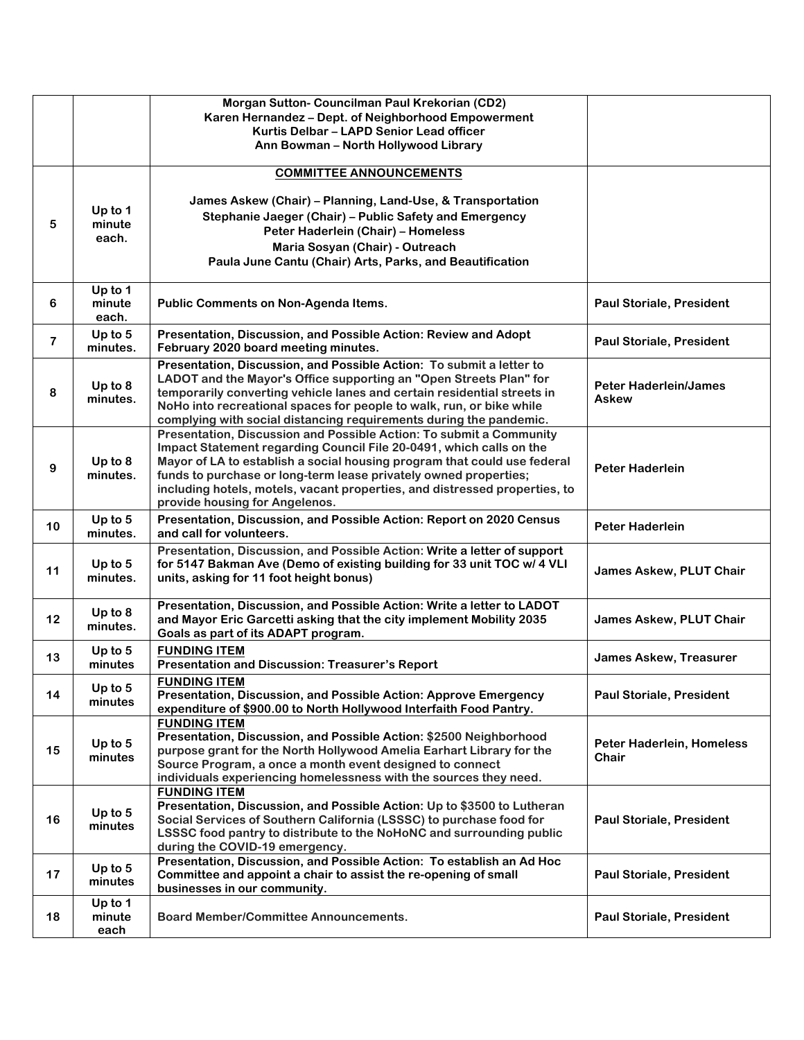|                         |                            | Morgan Sutton- Councilman Paul Krekorian (CD2)<br>Karen Hernandez - Dept. of Neighborhood Empowerment<br>Kurtis Delbar - LAPD Senior Lead officer<br>Ann Bowman - North Hollywood Library                                                                                                                                                                                                                  |                                              |
|-------------------------|----------------------------|------------------------------------------------------------------------------------------------------------------------------------------------------------------------------------------------------------------------------------------------------------------------------------------------------------------------------------------------------------------------------------------------------------|----------------------------------------------|
| 5                       | Up to 1<br>minute<br>each. | <b>COMMITTEE ANNOUNCEMENTS</b><br>James Askew (Chair) - Planning, Land-Use, & Transportation<br>Stephanie Jaeger (Chair) - Public Safety and Emergency<br>Peter Haderlein (Chair) - Homeless<br>Maria Sosyan (Chair) - Outreach<br>Paula June Cantu (Chair) Arts, Parks, and Beautification                                                                                                                |                                              |
| 6                       | Up to 1<br>minute<br>each. | Public Comments on Non-Agenda Items.                                                                                                                                                                                                                                                                                                                                                                       | <b>Paul Storiale, President</b>              |
| $\overline{\mathbf{7}}$ | Up to $5$<br>minutes.      | Presentation, Discussion, and Possible Action: Review and Adopt<br>February 2020 board meeting minutes.                                                                                                                                                                                                                                                                                                    | <b>Paul Storiale, President</b>              |
| 8                       | Up to 8<br>minutes.        | Presentation, Discussion, and Possible Action: To submit a letter to<br>LADOT and the Mayor's Office supporting an "Open Streets Plan" for<br>temporarily converting vehicle lanes and certain residential streets in<br>NoHo into recreational spaces for people to walk, run, or bike while<br>complying with social distancing requirements during the pandemic.                                        | <b>Peter Haderlein/James</b><br><b>Askew</b> |
| 9                       | Up to 8<br>minutes.        | Presentation, Discussion and Possible Action: To submit a Community<br>Impact Statement regarding Council File 20-0491, which calls on the<br>Mayor of LA to establish a social housing program that could use federal<br>funds to purchase or long-term lease privately owned properties;<br>including hotels, motels, vacant properties, and distressed properties, to<br>provide housing for Angelenos. | <b>Peter Haderlein</b>                       |
| 10                      | Up to $5$<br>minutes.      | Presentation, Discussion, and Possible Action: Report on 2020 Census<br>and call for volunteers.                                                                                                                                                                                                                                                                                                           | <b>Peter Haderlein</b>                       |
| 11                      | Up to 5<br>minutes.        | Presentation, Discussion, and Possible Action: Write a letter of support<br>for 5147 Bakman Ave (Demo of existing building for 33 unit TOC w/ 4 VLI<br>units, asking for 11 foot height bonus)                                                                                                                                                                                                             | <b>James Askew, PLUT Chair</b>               |
| 12                      | Up to $8$<br>minutes.      | Presentation, Discussion, and Possible Action: Write a letter to LADOT<br>and Mayor Eric Garcetti asking that the city implement Mobility 2035<br>Goals as part of its ADAPT program.                                                                                                                                                                                                                      | <b>James Askew, PLUT Chair</b>               |
| 13                      | Up to 5<br>minutes         | <b>FUNDING ITEM</b><br><b>Presentation and Discussion: Treasurer's Report</b>                                                                                                                                                                                                                                                                                                                              | <b>James Askew, Treasurer</b>                |
| 14                      | Up to 5<br>minutes         | <b>FUNDING ITEM</b><br>Presentation, Discussion, and Possible Action: Approve Emergency<br>expenditure of \$900.00 to North Hollywood Interfaith Food Pantry.                                                                                                                                                                                                                                              | <b>Paul Storiale, President</b>              |
| 15                      | Up to $5$<br>minutes       | <b>FUNDING ITEM</b><br>Presentation, Discussion, and Possible Action: \$2500 Neighborhood<br>purpose grant for the North Hollywood Amelia Earhart Library for the<br>Source Program, a once a month event designed to connect<br>individuals experiencing homelessness with the sources they need.                                                                                                         | Peter Haderlein, Homeless<br>Chair           |
| 16                      | Up to $5$<br>minutes       | <b>FUNDING ITEM</b><br>Presentation, Discussion, and Possible Action: Up to \$3500 to Lutheran<br>Social Services of Southern California (LSSSC) to purchase food for<br>LSSSC food pantry to distribute to the NoHoNC and surrounding public<br>during the COVID-19 emergency.                                                                                                                            | <b>Paul Storiale, President</b>              |
| 17                      | Up to $5$<br>minutes       | Presentation, Discussion, and Possible Action: To establish an Ad Hoc<br>Committee and appoint a chair to assist the re-opening of small<br>businesses in our community.                                                                                                                                                                                                                                   | <b>Paul Storiale, President</b>              |
| 18                      | Up to 1<br>minute<br>each  | <b>Board Member/Committee Announcements.</b>                                                                                                                                                                                                                                                                                                                                                               | <b>Paul Storiale, President</b>              |